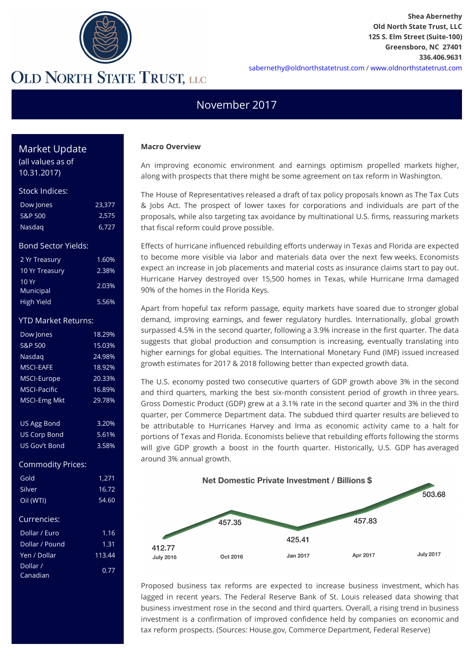

### November 2017

#### **Macro Overview**

An improving economic environment and earnings optimism propelled markets higher, along with prospects that there might be some agreement on tax reform in Washington.

The House of Representatives released a draft of tax policy proposals known as The Tax Cuts & Jobs Act. The prospect of lower taxes for corporations and individuals are part of the proposals, while also targeting tax avoidance by multinational U.S. firms, reassuring markets that fiscal reform could prove possible.

Effects of hurricane influenced rebuilding efforts underway in Texas and Florida are expected to become more visible via labor and materials data over the next few weeks. Economists expect an increase in job placements and material costs as insurance claims start to pay out. Hurricane Harvey destroyed over 15,500 homes in Texas, while Hurricane Irma damaged 90% of the homes in the Florida Keys.

Apart from hopeful tax reform passage, equity markets have soared due to stronger global demand, improving earnings, and fewer regulatory hurdles. Internationally, global growth surpassed 4.5% in the second quarter, following a 3.9% increase in the first quarter. The data suggests that global production and consumption is increasing, eventually translating into higher earnings for global equities. The International Monetary Fund (IMF) issued increased growth estimates for 2017 & 2018 following better than expected growth data.

The U.S. economy posted two consecutive quarters of GDP growth above 3% in the second and third quarters, marking the best six-month consistent period of growth in three years. Gross Domestic Product (GDP) grew at a 3.1% rate in the second quarter and 3% in the third quarter, per Commerce Department data. The subdued third quarter results are believed to be attributable to Hurricanes Harvey and Irma as economic activity came to a halt for portions of Texas and Florida. Economists believe that rebuilding efforts following the storms will give GDP growth a boost in the fourth quarter. Historically, U.S. GDP has averaged around 3% annual growth.



Proposed business tax reforms are expected to increase business investment, which has lagged in recent years. The Federal Reserve Bank of St. Louis released data showing that business investment rose in the second and third quarters. Overall, a rising trend in business investment is a confirmation of improved confidence held by companies on economic and tax reform prospects. (Sources: House.gov, Commerce Department, Federal Reserve)

### Market Update

(all values as of 10.31.2017)

#### Stock Indices:

| Dow Jones | 23.377 |
|-----------|--------|
| S&P 500   | 2,575  |
| Nasdag    | 6,727  |

#### Bond Sector Yields:

| 2 Yr Treasury     | 1.60% |
|-------------------|-------|
| 10 Yr Treasury    | 2.38% |
| 10Yr<br>Municipal | 2.03% |
| High Yield        | 5.56% |

#### YTD Market Returns:

| Dow Jones           | 18.29% |
|---------------------|--------|
| S&P 500             | 15.03% |
| Nasdag              | 24.98% |
| MSCI-FAFF           | 18.92% |
| MSCI-Europe         | 20.33% |
| <b>MSCI-Pacific</b> | 16.89% |
| <b>MSCI-Emg Mkt</b> | 29.78% |
|                     |        |
| <b>US Agg Bond</b>  | 3.20%  |
| <b>US Corp Bond</b> | 5.61%  |
| US Gov't Bond       | 3.58%  |
|                     |        |

#### Commodity Prices:

| 1,271  |
|--------|
| 16.72  |
| 54.60  |
|        |
| 1.16   |
| 1.31   |
| 113.44 |
| 0.77   |
|        |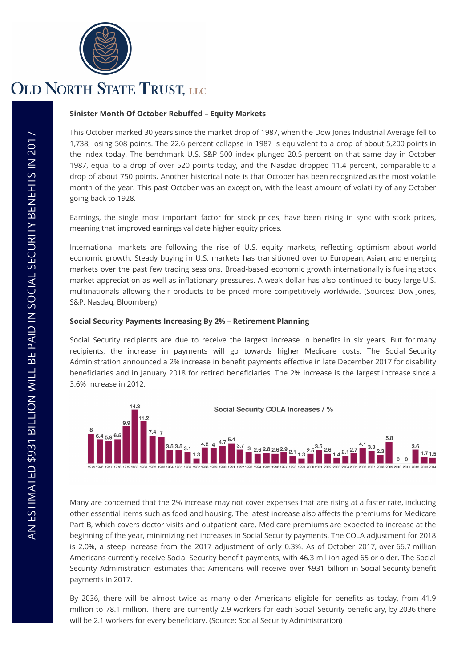

#### **Sinister Month Of October Rebuffed – Equity Markets**

This October marked 30 years since the market drop of 1987, when the Dow Jones Industrial Average fell to 1,738, losing 508 points. The 22.6 percent collapse in 1987 is equivalent to a drop of about 5,200 points in the index today. The benchmark U.S. S&P 500 index plunged 20.5 percent on that same day in October 1987, equal to a drop of over 520 points today, and the Nasdaq dropped 11.4 percent, comparable to a drop of about 750 points. Another historical note is that October has been recognized as the most volatile month of the year. This past October was an exception, with the least amount of volatility of any October going back to 1928.

Earnings, the single most important factor for stock prices, have been rising in sync with stock prices, meaning that improved earnings validate higher equity prices.

International markets are following the rise of U.S. equity markets, reflecting optimism about world economic growth. Steady buying in U.S. markets has transitioned over to European, Asian, and emerging markets over the past few trading sessions. Broad-based economic growth internationally is fueling stock market appreciation as well as inflationary pressures. A weak dollar has also continued to buoy large U.S. multinationals allowing their products to be priced more competitively worldwide. (Sources: Dow Jones, S&P, Nasdaq, Bloomberg)

#### **Social Security Payments Increasing By 2% – Retirement Planning**

Social Security recipients are due to receive the largest increase in benefits in six years. But for many recipients, the increase in payments will go towards higher Medicare costs. The Social Security Administration announced a 2% increase in benefit payments effective in late December 2017 for disability beneficiaries and in January 2018 for retired beneficiaries. The 2% increase is the largest increase since a 3.6% increase in 2012.



Many are concerned that the 2% increase may not cover expenses that are rising at a faster rate, including other essential items such as food and housing. The latest increase also affects the premiums for Medicare Part B, which covers doctor visits and outpatient care. Medicare premiums are expected to increase at the beginning of the year, minimizing net increases in Social Security payments. The COLA adjustment for 2018 is 2.0%, a steep increase from the 2017 adjustment of only 0.3%. As of October 2017, over 66.7 million Americans currently receive Social Security benefit payments, with 46.3 million aged 65 or older. The Social Security Administration estimates that Americans will receive over \$931 billion in Social Security benefit payments in 2017.

By 2036, there will be almost twice as many older Americans eligible for benefits as today, from 41.9 million to 78.1 million. There are currently 2.9 workers for each Social Security beneficiary, by 2036 there will be 2.1 workers for every beneficiary. (Source: Social Security Administration)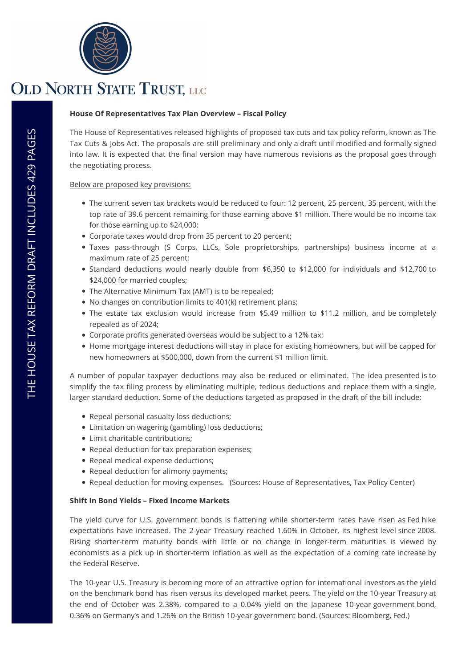

#### **House Of Representatives Tax Plan Overview – Fiscal Policy**

The House of Representatives released highlights of proposed tax cuts and tax policy reform, known as The Tax Cuts & Jobs Act. The proposals are still preliminary and only a draft until modified and formally signed into law. It is expected that the final version may have numerous revisions as the proposal goes through the negotiating process.

#### Below are proposed key provisions:

- The current seven tax brackets would be reduced to four: 12 percent, 25 percent, 35 percent, with the top rate of 39.6 percent remaining for those earning above \$1 million. There would be no income tax for those earning up to \$24,000;
- Corporate taxes would drop from 35 percent to 20 percent;
- Taxes pass-through (S Corps, LLCs, Sole proprietorships, partnerships) business income at a maximum rate of 25 percent;
- Standard deductions would nearly double from \$6,350 to \$12,000 for individuals and \$12,700 to \$24,000 for married couples;
- The Alternative Minimum Tax (AMT) is to be repealed;
- No changes on contribution limits to 401(k) retirement plans;
- The estate tax exclusion would increase from \$5.49 million to \$11.2 million, and be completely repealed as of 2024;
- Corporate profits generated overseas would be subject to a 12% tax;
- Home mortgage interest deductions will stay in place for existing homeowners, but will be capped for new homeowners at \$500,000, down from the current \$1 million limit.

A number of popular taxpayer deductions may also be reduced or eliminated. The idea presented is to simplify the tax filing process by eliminating multiple, tedious deductions and replace them with a single, larger standard deduction. Some of the deductions targeted as proposed in the draft of the bill include:

- Repeal personal casualty loss deductions;
- Limitation on wagering (gambling) loss deductions;
- Limit charitable contributions;
- Repeal deduction for tax preparation expenses;
- Repeal medical expense deductions;
- Repeal deduction for alimony payments;
- Repeal deduction for moving expenses. (Sources: House of Representatives, Tax Policy Center)

#### **Shift In Bond Yields – Fixed Income Markets**

The yield curve for U.S. government bonds is flattening while shorter-term rates have risen as Fed hike expectations have increased. The 2-year Treasury reached 1.60% in October, its highest level since 2008. Rising shorter-term maturity bonds with little or no change in longer-term maturities is viewed by economists as a pick up in shorter-term inflation as well as the expectation of a coming rate increase by the Federal Reserve.

The 10-year U.S. Treasury is becoming more of an attractive option for international investors as the yield on the benchmark bond has risen versus its developed market peers. The yield on the 10-year Treasury at the end of October was 2.38%, compared to a 0.04% yield on the Japanese 10-year government bond, 0.36% on Germany's and 1.26% on the British 10-year government bond. (Sources: Bloomberg, Fed.)